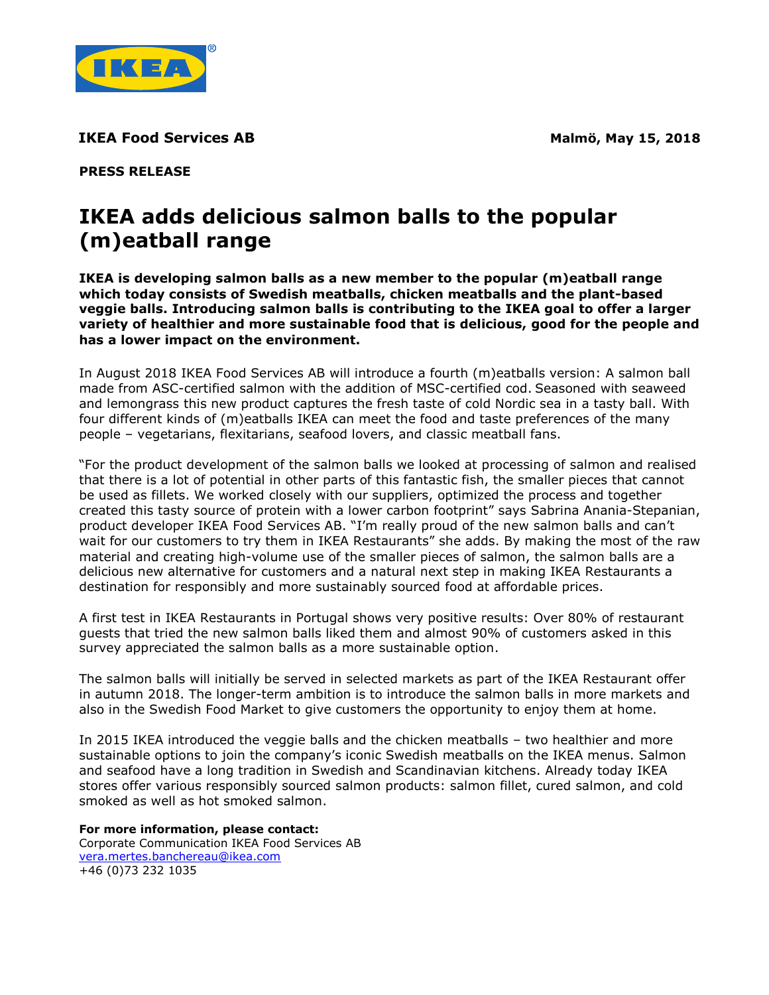

**IKEA Food Services AB Malmö, May 15, 2018** 

**PRESS RELEASE**

# **IKEA adds delicious salmon balls to the popular (m)eatball range**

**IKEA is developing salmon balls as a new member to the popular (m)eatball range which today consists of Swedish meatballs, chicken meatballs and the plant-based veggie balls. Introducing salmon balls is contributing to the IKEA goal to offer a larger variety of healthier and more sustainable food that is delicious, good for the people and has a lower impact on the environment.** 

In August 2018 IKEA Food Services AB will introduce a fourth (m)eatballs version: A salmon ball made from ASC-certified salmon with the addition of MSC-certified cod. Seasoned with seaweed and lemongrass this new product captures the fresh taste of cold Nordic sea in a tasty ball. With four different kinds of (m)eatballs IKEA can meet the food and taste preferences of the many people – vegetarians, flexitarians, seafood lovers, and classic meatball fans.

"For the product development of the salmon balls we looked at processing of salmon and realised that there is a lot of potential in other parts of this fantastic fish, the smaller pieces that cannot be used as fillets. We worked closely with our suppliers, optimized the process and together created this tasty source of protein with a lower carbon footprint" says Sabrina Anania-Stepanian, product developer IKEA Food Services AB. "I'm really proud of the new salmon balls and can't wait for our customers to try them in IKEA Restaurants" she adds. By making the most of the raw material and creating high-volume use of the smaller pieces of salmon, the salmon balls are a delicious new alternative for customers and a natural next step in making IKEA Restaurants a destination for responsibly and more sustainably sourced food at affordable prices.

A first test in IKEA Restaurants in Portugal shows very positive results: Over 80% of restaurant guests that tried the new salmon balls liked them and almost 90% of customers asked in this survey appreciated the salmon balls as a more sustainable option.

The salmon balls will initially be served in selected markets as part of the IKEA Restaurant offer in autumn 2018. The longer-term ambition is to introduce the salmon balls in more markets and also in the Swedish Food Market to give customers the opportunity to enjoy them at home.

In 2015 IKEA introduced the veggie balls and the chicken meatballs – two healthier and more sustainable options to join the company's iconic Swedish meatballs on the IKEA menus. Salmon and seafood have a long tradition in Swedish and Scandinavian kitchens. Already today IKEA stores offer various responsibly sourced salmon products: salmon fillet, cured salmon, and cold smoked as well as hot smoked salmon.

**For more information, please contact:**  Corporate Communication IKEA Food Services AB vera.mertes.banchereau@ikea.com +46 (0)73 232 1035